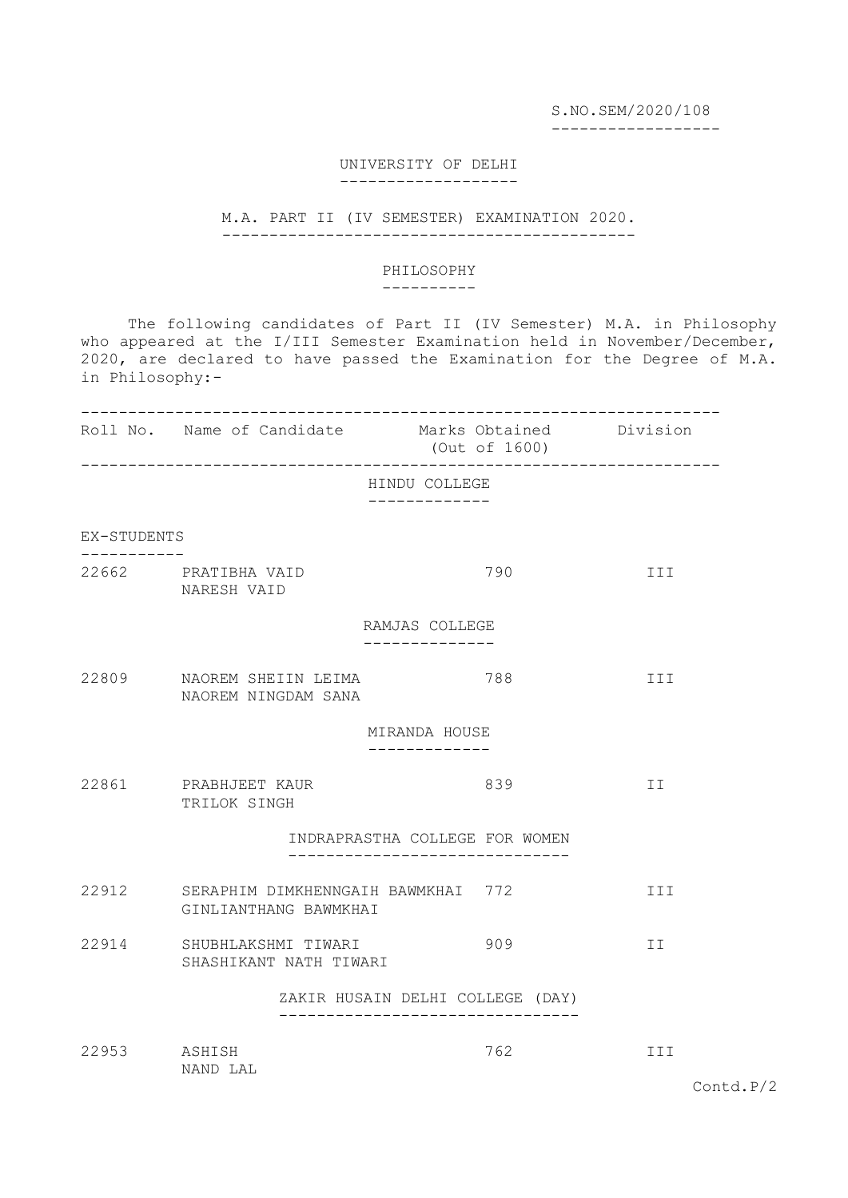S.NO.SEM/2020/108

------------------

## UNIVERSITY OF DELHI -------------------

## M.A. PART II (IV SEMESTER) EXAMINATION 2020. --------------------------------------------

## PHILOSOPHY

----------

 The following candidates of Part II (IV Semester) M.A. in Philosophy who appeared at the I/III Semester Examination held in November/December, 2020, are declared to have passed the Examination for the Degree of M.A. in Philosophy:-

|             | Roll No. Name of Candidate Marks Obtained Division                | (Out of 1600)                                                   |     |
|-------------|-------------------------------------------------------------------|-----------------------------------------------------------------|-----|
|             |                                                                   | HINDU COLLEGE                                                   |     |
| EX-STUDENTS |                                                                   |                                                                 |     |
|             | 22662 PRATIBHA VAID<br>NARESH VAID                                | 790                                                             | III |
|             |                                                                   | RAMJAS COLLEGE                                                  |     |
|             | 22809 NAOREM SHEIIN LEIMA<br>NAOREM NINGDAM SANA                  | 788                                                             | III |
|             |                                                                   | MIRANDA HOUSE                                                   |     |
|             | 22861 PRABHJEET KAUR<br>TRILOK SINGH                              | 839                                                             | II  |
|             |                                                                   | INDRAPRASTHA COLLEGE FOR WOMEN                                  |     |
|             | 22912 SERAPHIM DIMKHENNGAIH BAWMKHAI 772<br>GINLIANTHANG BAWMKHAI |                                                                 | III |
|             | 22914 SHUBHLAKSHMI TIWARI<br>SHASHIKANT NATH TIWARI               | 909                                                             | II  |
|             |                                                                   | ZAKIR HUSAIN DELHI COLLEGE (DAY)<br>--------------------------- |     |
| 22953       | ASHISH<br>NAND LAL                                                | 762                                                             | III |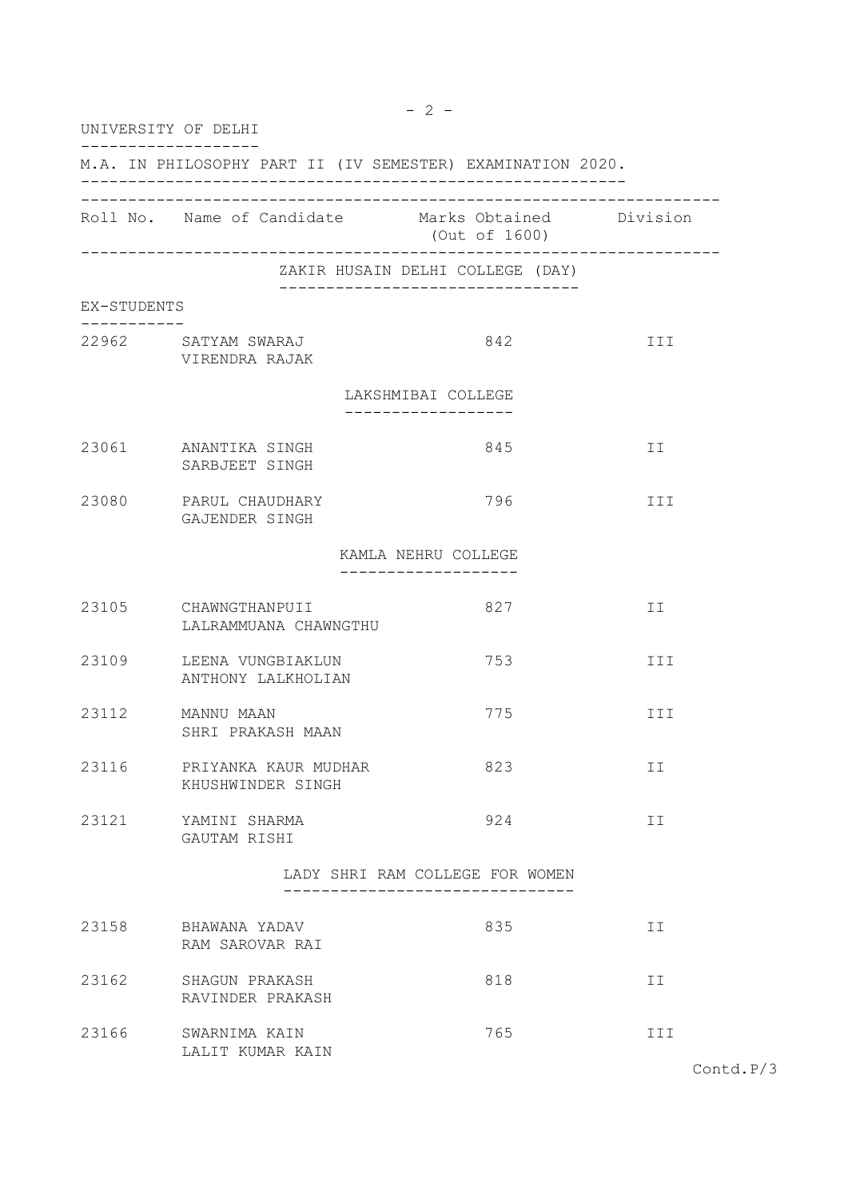| UNIVERSITY OF DELHI |                                                            |                                            |     |
|---------------------|------------------------------------------------------------|--------------------------------------------|-----|
|                     | M.A. IN PHILOSOPHY PART II (IV SEMESTER) EXAMINATION 2020. |                                            |     |
|                     | Roll No. Name of Candidate Marks Obtained Division         | (Out of 1600)                              |     |
|                     |                                                            | ZAKIR HUSAIN DELHI COLLEGE (DAY)           |     |
| EX-STUDENTS         |                                                            | _____________________________              |     |
|                     | 22962 SATYAM SWARAJ<br>VIRENDRA RAJAK                      | 842                                        | III |
|                     |                                                            | LAKSHMIBAI COLLEGE                         |     |
|                     | 23061 ANANTIKA SINGH<br>SARBJEET SINGH                     | 845                                        | II  |
| 23080               | PARUL CHAUDHARY<br>GAJENDER SINGH                          | 796                                        | III |
|                     |                                                            | KAMLA NEHRU COLLEGE<br>------------------- |     |
|                     | 23105 CHAWNGTHANPUII<br>LALRAMMUANA CHAWNGTHU              | 827                                        | II  |
| 23109               | LEENA VUNGBIAKLUN<br>ANTHONY LALKHOLIAN                    | 753                                        | III |
| 23112               | MANNU MAAN<br>SHRI PRAKASH MAAN                            | 775                                        | III |
| 23116               | PRIYANKA KAUR MUDHAR<br>KHUSHWINDER SINGH                  | 823                                        | ΙI  |
| 23121               | YAMINI SHARMA<br>GAUTAM RISHI                              | 924                                        | IΙ  |
|                     | _________________                                          | LADY SHRI RAM COLLEGE FOR WOMEN            |     |
| 23158               | BHAWANA YADAV<br>RAM SAROVAR RAI                           | 835                                        | II  |
| 23162               | SHAGUN PRAKASH<br>RAVINDER PRAKASH                         | 818                                        | ΙI  |
| 23166               | SWARNIMA KAIN<br>LALIT KUMAR KAIN                          | 765                                        | III |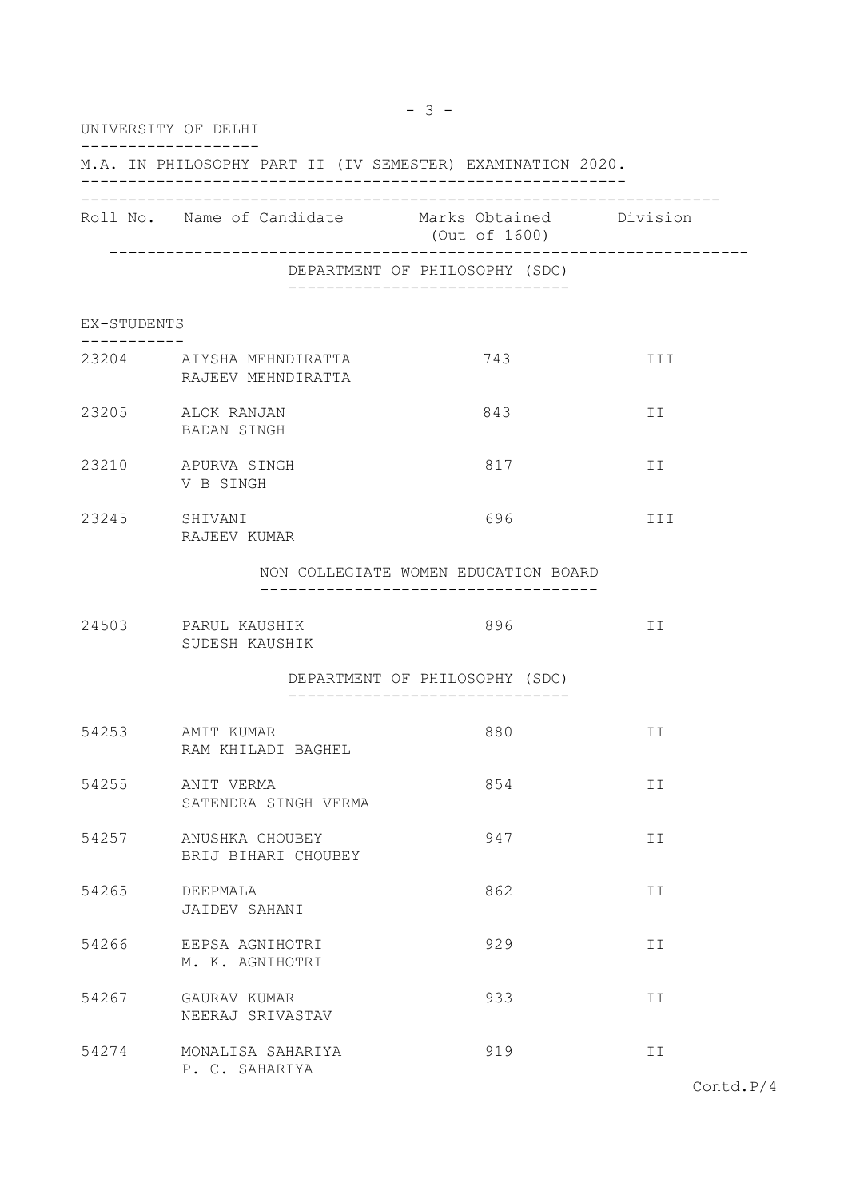|             | UNIVERSITY OF DELHI                                        |                                                                            |     |
|-------------|------------------------------------------------------------|----------------------------------------------------------------------------|-----|
|             | M.A. IN PHILOSOPHY PART II (IV SEMESTER) EXAMINATION 2020. |                                                                            |     |
|             | Roll No. Name of Candidate Marks Obtained Division         | (Out of 1600)                                                              |     |
|             |                                                            | DEPARTMENT OF PHILOSOPHY (SDC)<br>------------------------------           |     |
| EX-STUDENTS |                                                            |                                                                            |     |
|             | 23204 AIYSHA MEHNDIRATTA<br>RAJEEV MEHNDIRATTA             | 743                                                                        | III |
|             | 23205 ALOK RANJAN<br>BADAN SINGH                           | 843                                                                        | ΙI  |
|             | 23210 APURVA SINGH<br>V B SINGH                            | 817                                                                        | II  |
| 23245       | SHIVANI<br>RAJEEV KUMAR                                    | 696                                                                        | III |
|             |                                                            | NON COLLEGIATE WOMEN EDUCATION BOARD<br>__________________________________ |     |
|             | 24503 PARUL KAUSHIK<br>SUDESH KAUSHIK                      | 896                                                                        | II  |
|             |                                                            | DEPARTMENT OF PHILOSOPHY (SDC)                                             |     |
| 54253       | AMIT KUMAR<br>RAM KHILADI BAGHEL                           | 880                                                                        | ΙI  |
| 54255       | ANIT VERMA<br>SATENDRA SINGH VERMA                         | 854                                                                        | II  |
| 54257       | ANUSHKA CHOUBEY<br>BRIJ BIHARI CHOUBEY                     | 947                                                                        | ΙI  |
| 54265       | DEEPMALA<br>JAIDEV SAHANI                                  | 862                                                                        | II  |
| 54266       | EEPSA AGNIHOTRI<br>M. K. AGNIHOTRI                         | 929                                                                        | ΙI  |
| 54267       | GAURAV KUMAR<br>NEERAJ SRIVASTAV                           | 933                                                                        | II  |
| 54274       | MONALISA SAHARIYA<br>P. C. SAHARIYA                        | 919                                                                        | II  |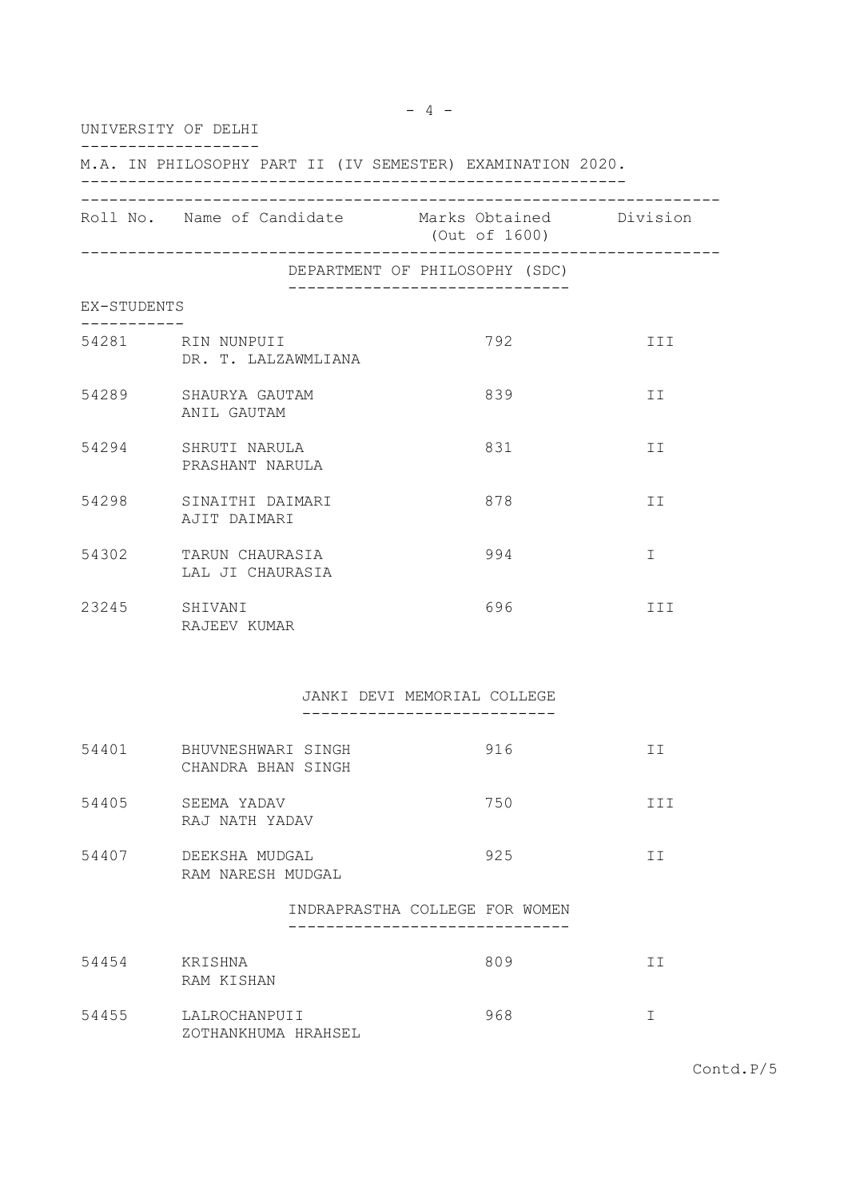| UNIVERSITY OF DELHI |                                           |                                                                     |             |
|---------------------|-------------------------------------------|---------------------------------------------------------------------|-------------|
|                     |                                           | M.A. IN PHILOSOPHY PART II (IV SEMESTER) EXAMINATION 2020.          |             |
|                     |                                           | Roll No. Name of Candidate Marks Obtained Division<br>(Out of 1600) |             |
|                     |                                           | ______________________<br>DEPARTMENT OF PHILOSOPHY (SDC)            |             |
| EX-STUDENTS         |                                           | _______________________________                                     |             |
|                     | 54281 RIN NUNPUII<br>DR. T. LALZAWMLIANA  | 792                                                                 | III         |
|                     | 54289 SHAURYA GAUTAM<br>ANIL GAUTAM       | 839                                                                 | II          |
|                     | 54294 SHRUTI NARULA<br>PRASHANT NARULA    | 831                                                                 | ΙI          |
|                     | 54298 SINAITHI DAIMARI<br>AJIT DAIMARI    | 878                                                                 | II          |
|                     | 54302 TARUN CHAURASIA<br>LAL JI CHAURASIA | 994                                                                 | $\mathbf I$ |
| 23245               | SHIVANI<br>RAJEEV KUMAR                   | 696                                                                 | III         |
|                     |                                           | JANKI DEVI MEMORIAL COLLEGE<br>-------------------------            |             |
| 54401               | BHUVNESHWARI SINGH<br>CHANDRA BHAN SINGH  | 916                                                                 | II          |
| 54405               | SEEMA YADAV<br>RAJ NATH YADAV             | 750                                                                 | III         |
| 54407               | DEEKSHA MUDGAL<br>RAM NARESH MUDGAL       | 925                                                                 | II          |
|                     |                                           | INDRAPRASTHA COLLEGE FOR WOMEN                                      |             |
| 54454               | KRISHNA<br>RAM KISHAN                     | 809                                                                 | II          |
| 54455               | LALROCHANPUII<br>ZOTHANKHUMA HRAHSEL      | 968                                                                 | I           |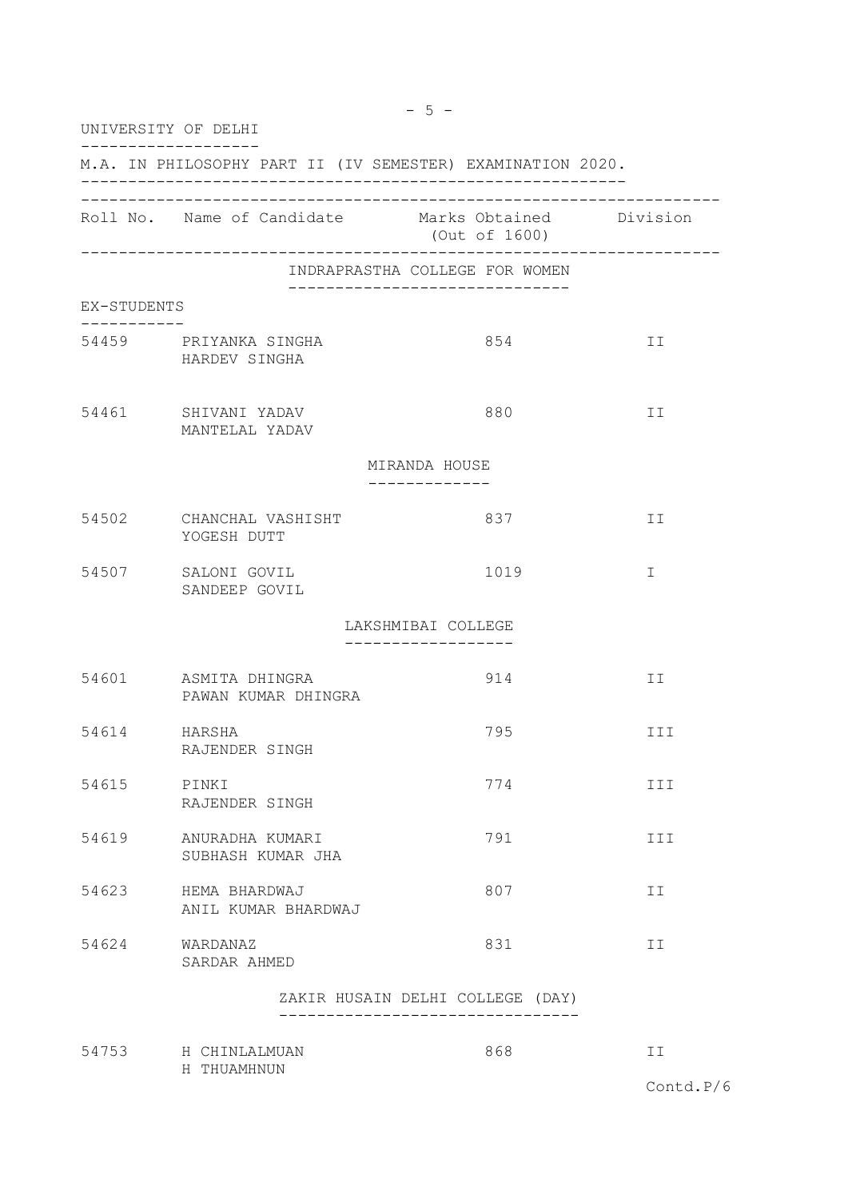|              | UNIVERSITY OF DELHI                                        |                                                           |     |
|--------------|------------------------------------------------------------|-----------------------------------------------------------|-----|
|              | M.A. IN PHILOSOPHY PART II (IV SEMESTER) EXAMINATION 2020. |                                                           |     |
|              | Roll No. Name of Candidate Marks Obtained Division         | (Out of 1600)                                             |     |
|              |                                                            | INDRAPRASTHA COLLEGE FOR WOMEN                            |     |
| EX-STUDENTS  |                                                            | --------------------------                                |     |
| --------     | 54459 PRIYANKA SINGHA<br>HARDEV SINGHA                     | 854                                                       | II  |
|              | 54461 SHIVANI YADAV<br>MANTELAL YADAV                      | 880                                                       | ΙI  |
|              |                                                            | MIRANDA HOUSE                                             |     |
| 54502        | CHANCHAL VASHISHT<br>YOGESH DUTT                           | 837                                                       | II  |
| 54507        | SALONI GOVIL<br>SANDEEP GOVIL                              | 1019                                                      | T.  |
|              |                                                            | LAKSHMIBAI COLLEGE<br>. _ _ _ _ _ _ _ _ _ _ _ _ _ _ _ _ _ |     |
|              | 54601 ASMITA DHINGRA<br>PAWAN KUMAR DHINGRA                | 914                                                       | II  |
| 54614 HARSHA | RAJENDER SINGH                                             | 795                                                       | III |
| 54615        | PINKI<br>RAJENDER SINGH                                    | 774                                                       | III |
| 54619        | ANURADHA KUMARI<br>SUBHASH KUMAR JHA                       | 791                                                       | III |
| 54623        | HEMA BHARDWAJ<br>ANIL KUMAR BHARDWAJ                       | 807                                                       | ΙI  |
| 54624        | WARDANAZ<br>SARDAR AHMED                                   | 831                                                       | II  |
|              |                                                            | ZAKIR HUSAIN DELHI COLLEGE (DAY)                          |     |
|              | 54753 H CHINLALMUAN<br>H THUAMHNUN                         | 868                                                       | II  |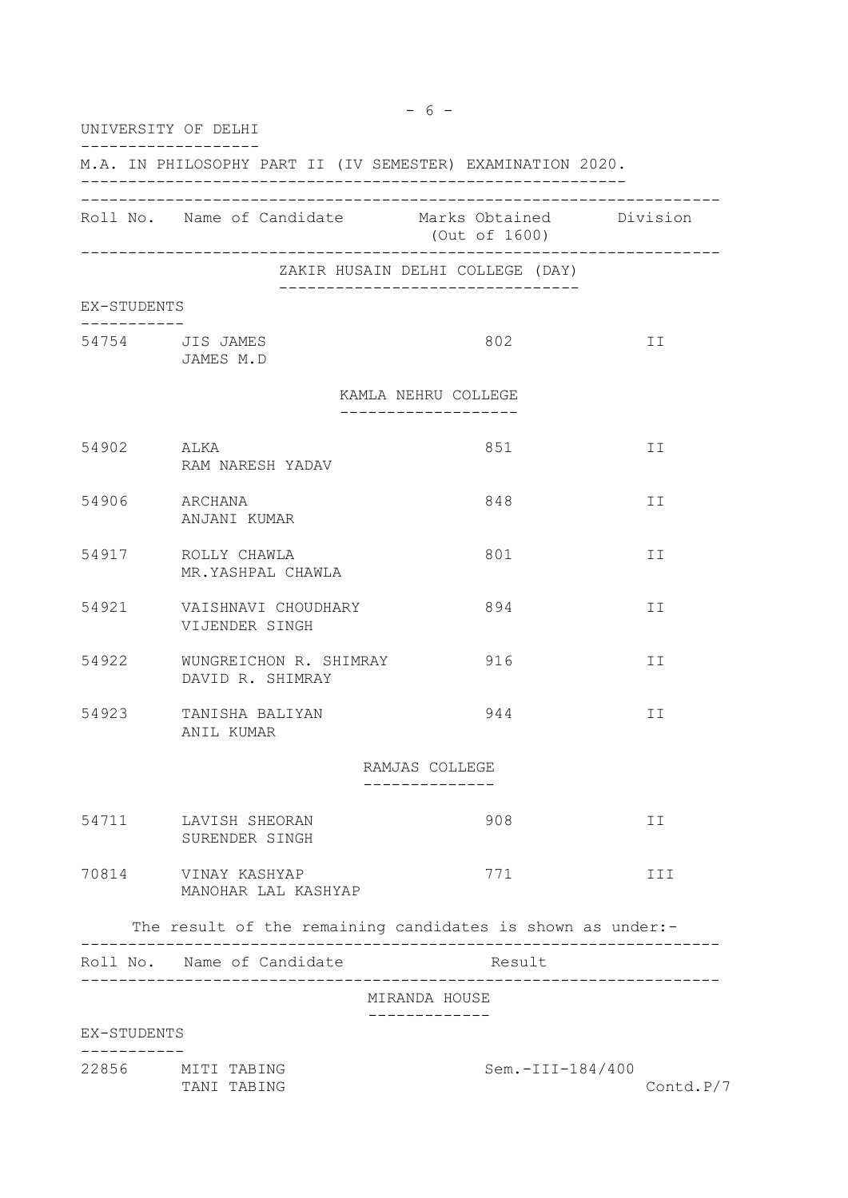| UNIVERSITY OF DELHI |                                            |                                                                                                    |     |
|---------------------|--------------------------------------------|----------------------------------------------------------------------------------------------------|-----|
|                     |                                            | M.A. IN PHILOSOPHY PART II (IV SEMESTER) EXAMINATION 2020.                                         |     |
|                     |                                            | Roll No. Name of Candidate Marks Obtained Division<br>(Out of 1600)                                |     |
|                     |                                            | ZAKIR HUSAIN DELHI COLLEGE (DAY)<br>__________________________________                             |     |
| EX-STUDENTS         |                                            |                                                                                                    |     |
|                     | 54754 JIS JAMES<br>JAMES M.D               | 802                                                                                                | ΙI  |
|                     |                                            | KAMLA NEHRU COLLEGE                                                                                |     |
|                     |                                            |                                                                                                    |     |
| 54902               | ALKA<br>RAM NARESH YADAV                   | 851                                                                                                | ΙI  |
| 54906 ARCHANA       | ANJANI KUMAR                               | 848                                                                                                | ΙI  |
|                     | 54917 ROLLY CHAWLA<br>MR.YASHPAL CHAWLA    | 801                                                                                                | ΙI  |
| 54921               | VAISHNAVI CHOUDHARY<br>VIJENDER SINGH      | 894                                                                                                | ΙI  |
| 54922               | WUNGREICHON R. SHIMRAY<br>DAVID R. SHIMRAY | 916                                                                                                | ΙI  |
| 54923               | TANISHA BALIYAN<br>ANIL KUMAR              | 944                                                                                                | II  |
|                     |                                            | RAMJAS COLLEGE                                                                                     |     |
|                     |                                            |                                                                                                    |     |
|                     | 54711 LAVISH SHEORAN<br>SURENDER SINGH     | 908                                                                                                | II  |
| 70814               | VINAY KASHYAP<br>MANOHAR LAL KASHYAP       | 771                                                                                                | III |
|                     |                                            | The result of the remaining candidates is shown as under:-<br>____________________________________ |     |
|                     | Roll No. Name of Candidate                 | Result                                                                                             |     |
|                     |                                            | MIRANDA HOUSE                                                                                      |     |
| EX-STUDENTS         |                                            |                                                                                                    |     |
|                     |                                            |                                                                                                    |     |

22856 MITI TABING Sem.-III-184/400 TANI TABING Contd.P/7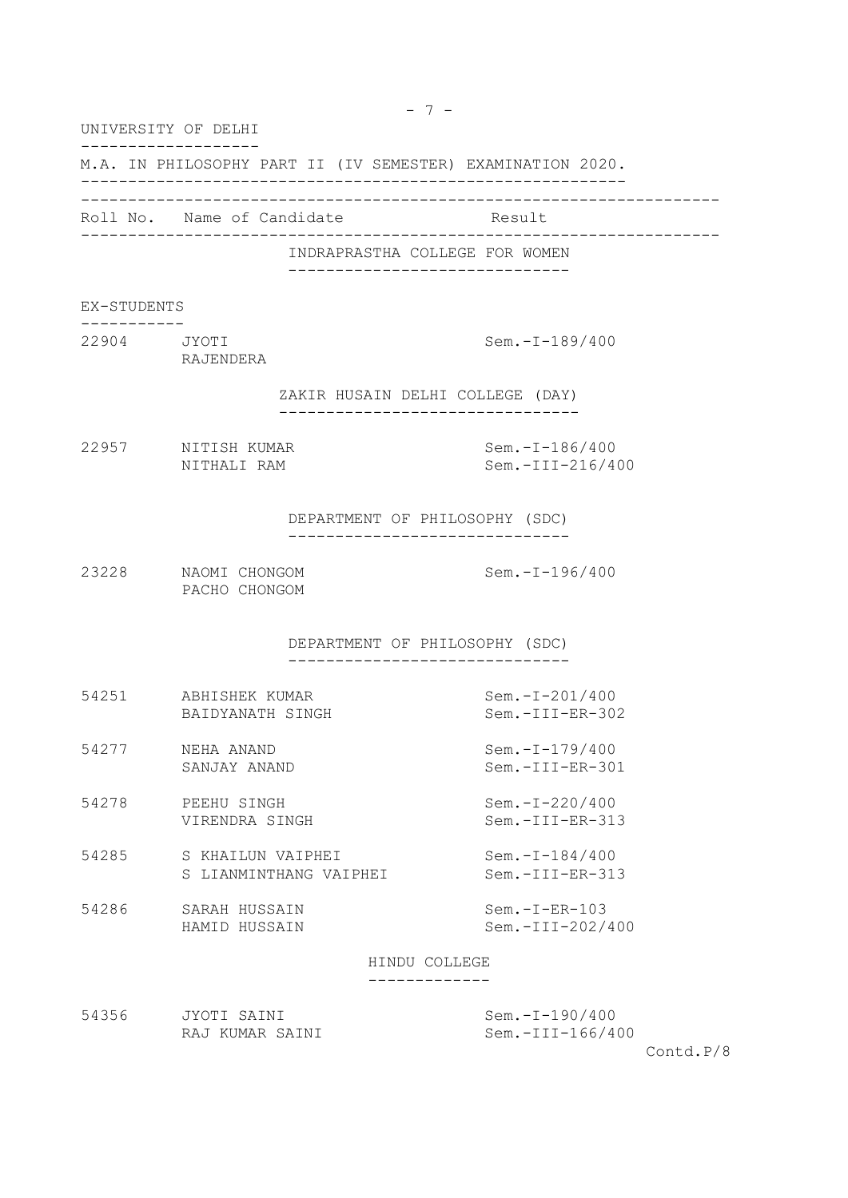UNIVERSITY OF DELHI

-------------------

M.A. IN PHILOSOPHY PART II (IV SEMESTER) EXAMINATION 2020.

----------------------------------------------------------

--------------------------------------------------------------------

Roll No. Name of Candidate Result

--------------------------------------------------------------------

INDRAPRASTHA COLLEGE FOR WOMEN ------------------------------

EX-STUDENTS

----------- 22904 JYOTI Sem.-I-189/400

RAJENDERA

ZAKIR HUSAIN DELHI COLLEGE (DAY)

--------------------------------

22957 NITISH KUMAR Sem.-I-186/400

NITHALI RAM Sem.-III-216/400

DEPARTMENT OF PHILOSOPHY (SDC) ------------------------------

23228 NAOMI CHONGOM Sem.-I-196/400 PACHO CHONGOM

> DEPARTMENT OF PHILOSOPHY (SDC) ------------------------------

| 54251 | ABHISHEK KUMAR   | Sem.-I-201/400    |
|-------|------------------|-------------------|
|       | BAIDYANATH SINGH | $Sem.-III-ER-302$ |

- 54277 NEHA ANAND Sem.-I-179/400 SANJAY ANAND Sem.-III-ER-301
- 54278 PEEHU SINGH Sem.-I-220/400 VIRENDRA SINGH Sem.-III-ER-313
- 54285 S KHAILUN VAIPHEI Sem.-I-184/400 S LIANMINTHANG VAIPHEI Sem.-III-ER-313
- 54286 SARAH HUSSAIN Sem.-I-ER-103 HAMID HUSSAIN Sem.-III-202/400

HINDU COLLEGE

-------------

| 54356 | JYOTI SAINI     | Sem.-I-190/400   |
|-------|-----------------|------------------|
|       | RAJ KUMAR SAINI | Sem.-III-166/400 |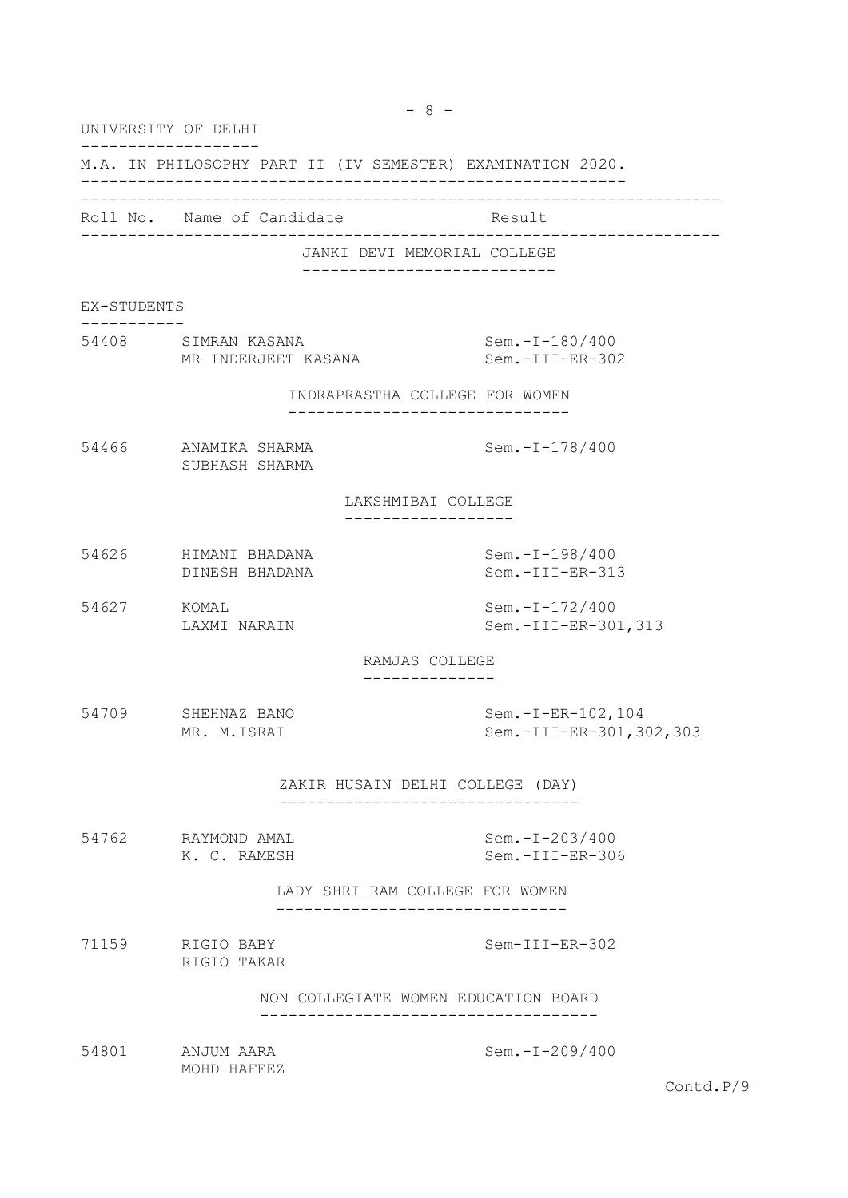UNIVERSITY OF DELHI ------------------- M.A. IN PHILOSOPHY PART II (IV SEMESTER) EXAMINATION 2020. ---------------------------------------------------------- -------------------------------------------------------------------- Roll No. Name of Candidate Result -------------------------------------------------------------------- JANKI DEVI MEMORIAL COLLEGE --------------------------- EX-STUDENTS ----------- 54408 SIMRAN KASANA Sem.-I-180/400 MR INDERJEET KASANA Sem.-III-ER-302 INDRAPRASTHA COLLEGE FOR WOMEN ------------------------------ 54466 ANAMIKA SHARMA Sem.-I-178/400 SUBHASH SHARMA LAKSHMIBAI COLLEGE ------------------ 54626 HIMANI BHADANA Sem.-I-198/400 DINESH BHADANA Sem.-III-ER-313 54627 KOMAL Sem.-I-172/400 LAXMI NARAIN Sem.-III-ER-301,313 RAMJAS COLLEGE -------------- 54709 SHEHNAZ BANO Sem.-I-ER-102,104 MR. M.ISRAI Sem.-III-ER-301,302,303 ZAKIR HUSAIN DELHI COLLEGE (DAY) -------------------------------- 54762 RAYMOND AMAL Sem.-I-203/400 K. C. RAMESH Sem.-III-ER-306 LADY SHRI RAM COLLEGE FOR WOMEN ------------------------------- 71159 RIGIO BABY Sem-III-ER-302 RIGIO TAKAR NON COLLEGIATE WOMEN EDUCATION BOARD

 $-8 -$ 

------------------------------------

54801 ANJUM AARA Sem.-I-209/400 MOHD HAFEEZ